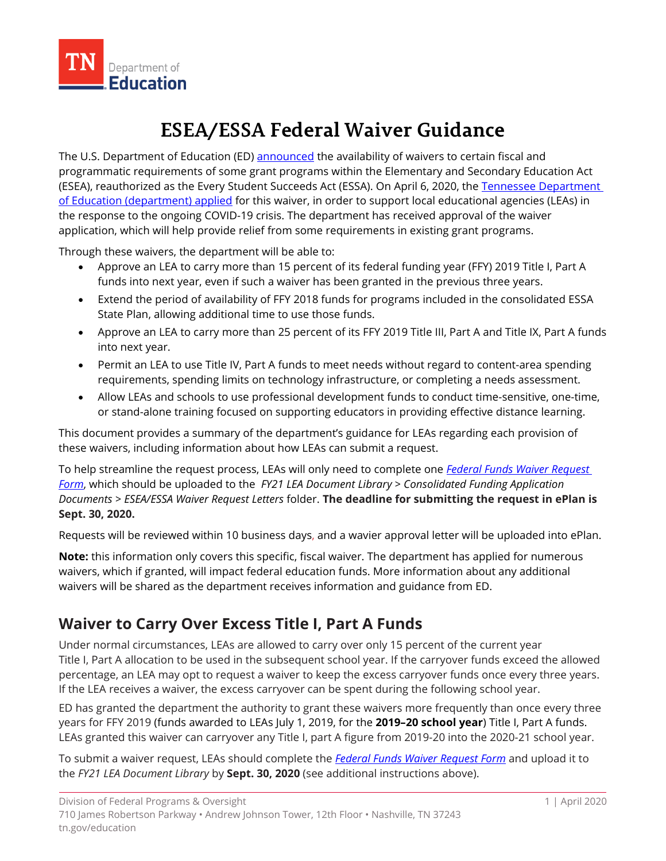

# **ESEA/ESSA Federal Waiver Guidance**

The U.S. Department of Education (ED) [announced](https://www.ed.gov/news/press-releases/secretary-education-betsy-devos-authorizes-new-funding-flexibilities-support-continued-learning-during-covid-19-national-emergency) the availability of waivers to certain fiscal and programmatic requirements of some grant programs within the Elementary and Secondary Education Act (ESEA), reauthorized as the Every Student Succeeds Act (ESSA). On April 6, 2020, the Tennessee [Department](https://www.tn.gov/content/dam/tn/education/health-&-safety/Tennessee-covid-fiscal-waiver-19-2020.pdf)  [of Education \(department\)](https://www.tn.gov/content/dam/tn/education/health-&-safety/Tennessee-covid-fiscal-waiver-19-2020.pdf) applied for this waiver, in order to support local educational agencies (LEAs) in the response to the ongoing COVID-19 crisis. The department has received approval of the waiver application, which will help provide relief from some requirements in existing grant programs.

Through these waivers, the department will be able to:

- Approve an LEA to carry more than 15 percent of its federal funding year (FFY) 2019 Title I, Part A funds into next year, even if such a waiver has been granted in the previous three years.
- Extend the period of availability of FFY 2018 funds for programs included in the consolidated ESSA State Plan, allowing additional time to use those funds.
- Approve an LEA to carry more than 25 percent of its FFY 2019 Title III, Part A and Title IX, Part A funds into next year.
- Permit an LEA to use Title IV, Part A funds to meet needs without regard to content-area spending requirements, spending limits on technology infrastructure, or completing a needs assessment.
- Allow LEAs and schools to use professional development funds to conduct time-sensitive, one-time, or stand-alone training focused on supporting educators in providing effective distance learning.

This document provides a summary of the department's guidance for LEAs regarding each provision of these waivers, including information about how LEAs can submit a request.

To help streamline the request process, LEAs will only need to complete one *[Federal Funds Waiver Request](https://eplan.tn.gov/DocumentLibrary/ViewDocument.aspx?DocumentKey=1585876&inline=true)  [Form](https://eplan.tn.gov/DocumentLibrary/ViewDocument.aspx?DocumentKey=1585876&inline=true)*, which should be uploaded to the *FY21 LEA Document Library > Consolidated Funding Application Documents > ESEA/ESSA Waiver Request Letters* folder. **The deadline for submitting the request in ePlan is Sept. 30, 2020.**

Requests will be reviewed within 10 business days, and a wavier approval letter will be uploaded into ePlan.

**Note:** this information only covers this specific, fiscal waiver. The department has applied for numerous waivers, which if granted, will impact federal education funds. More information about any additional waivers will be shared as the department receives information and guidance from ED.

### **Waiver to Carry Over Excess Title I, Part A Funds**

Under normal circumstances, LEAs are allowed to carry over only 15 percent of the current year Title I, Part A allocation to be used in the subsequent school year. If the carryover funds exceed the allowed percentage, an LEA may opt to request a waiver to keep the excess carryover funds once every three years. If the LEA receives a waiver, the excess carryover can be spent during the following school year.

ED has granted the department the authority to grant these waivers more frequently than once every three years for FFY 2019 (funds awarded to LEAs July 1, 2019, for the **2019–20 school year**) Title I, Part A funds. LEAs granted this waiver can carryover any Title I, part A figure from 2019-20 into the 2020-21 school year.

To submit a waiver request, LEAs should complete the *[Federal Funds Waiver Request Form](https://eplan.tn.gov/DocumentLibrary/ViewDocument.aspx?DocumentKey=1585876&inline=true)* and upload it to the *FY21 LEA Document Library* by **Sept. 30, 2020** (see additional instructions above).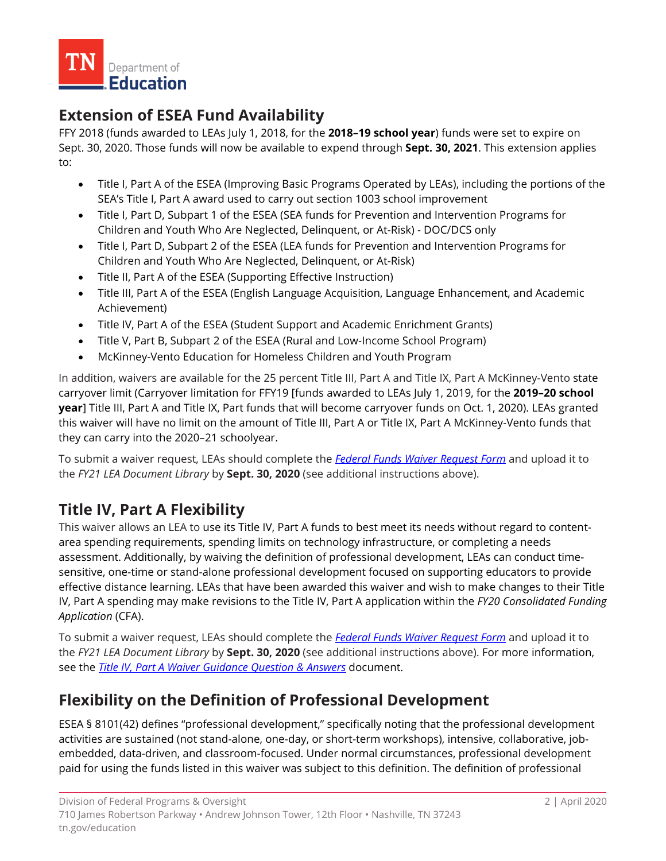

### **Extension of ESEA Fund Availability**

FFY 2018 (funds awarded to LEAs July 1, 2018, for the **2018–19 school year**) funds were set to expire on Sept. 30, 2020. Those funds will now be available to expend through **Sept. 30, 2021**. This extension applies to:

- Title I, Part A of the ESEA (Improving Basic Programs Operated by LEAs), including the portions of the SEA's Title I, Part A award used to carry out section 1003 school improvement
- Title I, Part D, Subpart 1 of the ESEA (SEA funds for Prevention and Intervention Programs for Children and Youth Who Are Neglected, Delinquent, or At-Risk) - DOC/DCS only
- Title I, Part D, Subpart 2 of the ESEA (LEA funds for Prevention and Intervention Programs for Children and Youth Who Are Neglected, Delinquent, or At-Risk)
- Title II, Part A of the ESEA (Supporting Effective Instruction)
- Title III, Part A of the ESEA (English Language Acquisition, Language Enhancement, and Academic Achievement)
- Title IV, Part A of the ESEA (Student Support and Academic Enrichment Grants)
- Title V, Part B, Subpart 2 of the ESEA (Rural and Low-Income School Program)
- McKinney-Vento Education for Homeless Children and Youth Program

In addition, waivers are available for the 25 percent Title III, Part A and Title IX, Part A McKinney-Vento state carryover limit (Carryover limitation for FFY19 [funds awarded to LEAs July 1, 2019, for the **2019–20 school year**] Title III, Part A and Title IX, Part funds that will become carryover funds on Oct. 1, 2020). LEAs granted this waiver will have no limit on the amount of Title III, Part A or Title IX, Part A McKinney-Vento funds that they can carry into the 2020–21 schoolyear.

To submit a waiver request, LEAs should complete the *[Federal Funds Waiver Request Form](https://eplan.tn.gov/DocumentLibrary/ViewDocument.aspx?DocumentKey=1585876&inline=true)* and upload it to the *FY21 LEA Document Library* by **Sept. 30, 2020** (see additional instructions above).

## **Title IV, Part A Flexibility**

This waiver allows an LEA to use its Title IV, Part A funds to best meet its needs without regard to contentarea spending requirements, spending limits on technology infrastructure, or completing a needs assessment. Additionally, by waiving the definition of professional development, LEAs can conduct timesensitive, one-time or stand-alone professional development focused on supporting educators to provide effective distance learning. LEAs that have been awarded this waiver and wish to make changes to their Title IV, Part A spending may make revisions to the Title IV, Part A application within the *FY20 Consolidated Funding Application* (CFA).

To submit a waiver request, LEAs should complete the *[Federal Funds Waiver Request Form](https://eplan.tn.gov/DocumentLibrary/ViewDocument.aspx?DocumentKey=1585876&inline=true)* and upload it to the *FY21 LEA Document Library* by **Sept. 30, 2020** (see additional instructions above). For more information, see the *[Title IV, Part A Waiver](https://eplan.tn.gov/DocumentLibrary/ViewDocument.aspx?DocumentKey=1585885&inline=true) Guidance Question & Answers* document.

### **Flexibility on the Definition of Professional Development**

ESEA § 8101(42) defines "professional development," specifically noting that the professional development activities are sustained (not stand-alone, one-day, or short-term workshops), intensive, collaborative, jobembedded, data-driven, and classroom-focused. Under normal circumstances, professional development paid for using the funds listed in this waiver was subject to this definition. The definition of professional